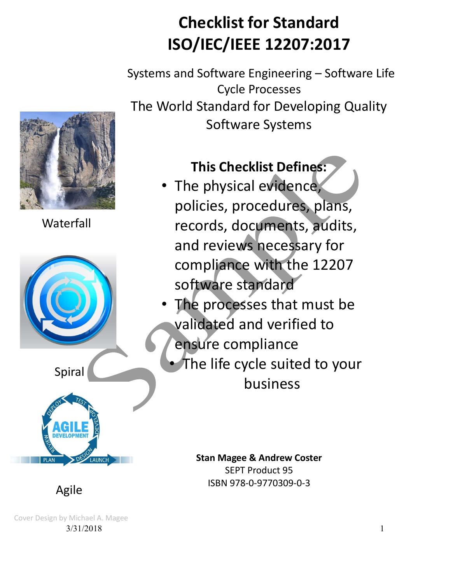# Checklist for Standard<br>ISO/IEC/IEEE 12207:2017 ISO/IEC/IEEE 12207:2017

Systems and Software Engineering – Software Life Cycle Processes The World Standard for Developing Quality Software Systems



Waterfall



This Checklist Defines:

- The physical evidence, policies, procedures, plans, records, documents, audits, and reviews necessary for compliance with the 12207 software standard
- The processes that must be validated and verified to ensure compliance
	- The life cycle suited to your business

Stan Magee & Andrew Coster SEPT Product 95 ISBN 978-0-9770309-0-3

Agile

3/31/2018 1 Cover Design by Michael A. Magee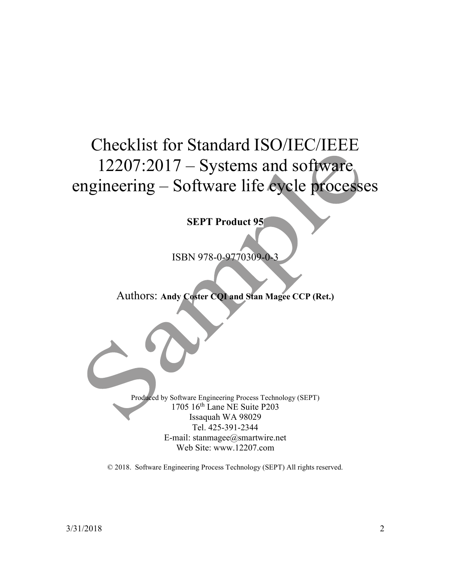## Checklist for Standard ISO/IEC/IEEE 12207:2017 – Systems and software engineering – Software life cycle processes

SEPT Product 95

ISBN 978-0-9770309-0-3

#### Authors: Andy Coster CQI and Stan Magee CCP (Ret.)

Produced by Software Engineering Process Technology (SEPT) 1705 16th Lane NE Suite P203 Issaquah WA 98029 Tel. 425-391-2344 E-mail: stanmagee@smartwire.net Web Site: www.12207.com

© 2018. Software Engineering Process Technology (SEPT) All rights reserved.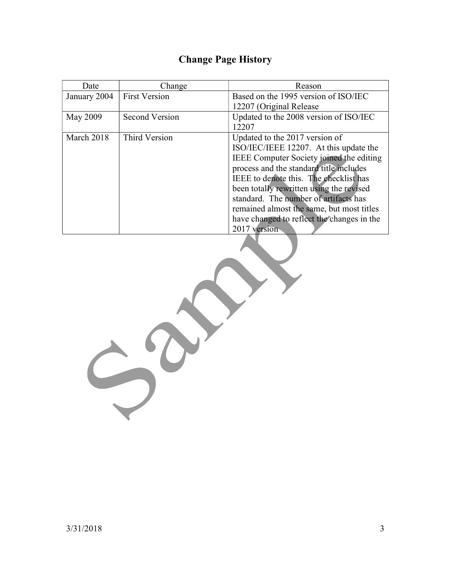## Change Page History

| Date         | Change                | Reason                                     |
|--------------|-----------------------|--------------------------------------------|
| January 2004 | <b>First Version</b>  | Based on the 1995 version of ISO/IEC       |
|              |                       | 12207 (Original Release)                   |
| May 2009     | <b>Second Version</b> | Updated to the 2008 version of ISO/IEC     |
|              |                       | 12207                                      |
| March 2018   | Third Version         | Updated to the 2017 version of             |
|              |                       | ISO/IEC/IEEE 12207. At this update the     |
|              |                       | IEEE Computer Society joined the editing   |
|              |                       | process and the standard title includes    |
|              |                       | IEEE to denote this. The checklist has     |
|              |                       | been totally rewritten using the revised   |
|              |                       | standard. The number of artifacts has      |
|              |                       | remained almost the same, but most titles  |
|              |                       | have changed to reflect the changes in the |
|              |                       | 2017 version                               |

3/31/2018 3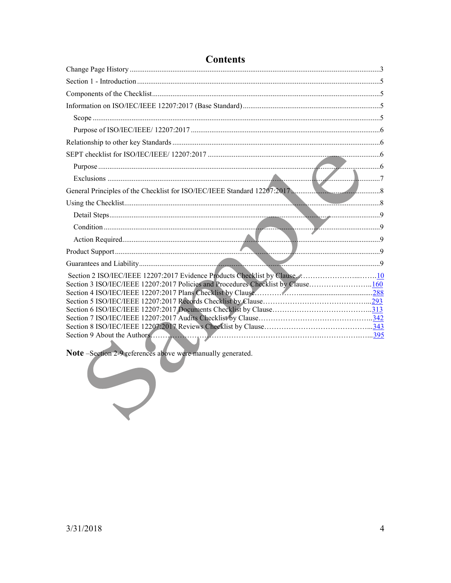| General Principles of the Checklist for ISO/IEC/IEEE Standard 12207:2017.        |
|----------------------------------------------------------------------------------|
|                                                                                  |
|                                                                                  |
|                                                                                  |
|                                                                                  |
|                                                                                  |
|                                                                                  |
|                                                                                  |
| Section 3 ISO/IEC/IEEE 12207:2017 Policies and Procedures Checklist by Clause160 |
|                                                                                  |
|                                                                                  |
|                                                                                  |
|                                                                                  |
|                                                                                  |
| . .                                                                              |

## **Contents**

 $\frac{\text{ection }2-9\text{ t.}}{2\pi\sqrt{3}}$ Note -Section 2-9 references above were manually generated.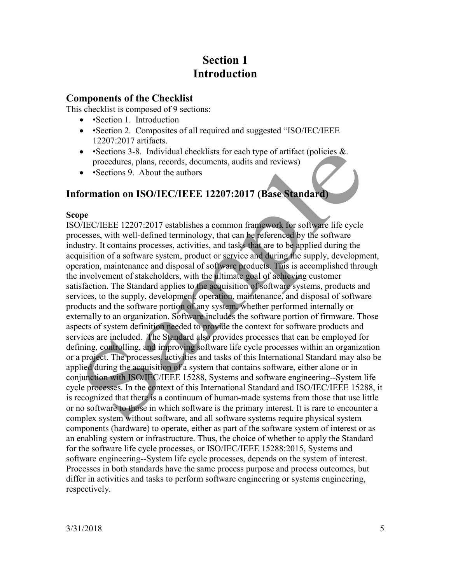## Section 1 Introduction

#### Components of the Checklist

This checklist is composed of 9 sections:

- •Section 1. Introduction
- • Section 2. Composites of all required and suggested "ISO/IEC/IEEE 12207:2017 artifacts.
- • Sections 3-8. Individual checklists for each type of artifact (policies  $\&$ . procedures, plans, records, documents, audits and reviews)
- • Sections 9. About the authors

### Information on ISO/IEC/IEEE 12207:2017 (Base Standard)

#### Scope

ISO/IEC/IEEE 12207:2017 establishes a common framework for software life cycle processes, with well-defined terminology, that can be referenced by the software industry. It contains processes, activities, and tasks that are to be applied during the acquisition of a software system, product or service and during the supply, development, operation, maintenance and disposal of software products. This is accomplished through the involvement of stakeholders, with the ultimate goal of achieving customer satisfaction. The Standard applies to the acquisition of software systems, products and services, to the supply, development, operation, maintenance, and disposal of software products and the software portion of any system, whether performed internally or externally to an organization. Software includes the software portion of firmware. Those aspects of system definition needed to provide the context for software products and services are included. The Standard also provides processes that can be employed for defining, controlling, and improving software life cycle processes within an organization or a project. The processes, activities and tasks of this International Standard may also be applied during the acquisition of a system that contains software, either alone or in conjunction with ISO/IEC/IEEE 15288, Systems and software engineering--System life cycle processes. In the context of this International Standard and ISO/IEC/IEEE 15288, it is recognized that there is a continuum of human-made systems from those that use little or no software to those in which software is the primary interest. It is rare to encounter a complex system without software, and all software systems require physical system components (hardware) to operate, either as part of the software system of interest or as an enabling system or infrastructure. Thus, the choice of whether to apply the Standard for the software life cycle processes, or ISO/IEC/IEEE 15288:2015, Systems and software engineering--System life cycle processes, depends on the system of interest. Processes in both standards have the same process purpose and process outcomes, but differ in activities and tasks to perform software engineering or systems engineering, respectively.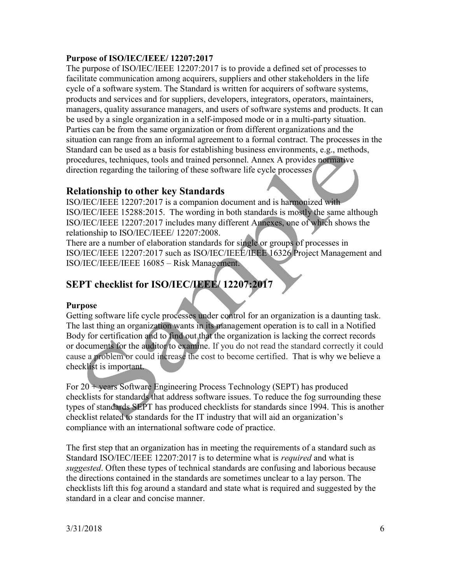#### Purpose of ISO/IEC/IEEE/ 12207:2017

The purpose of ISO/IEC/IEEE 12207:2017 is to provide a defined set of processes to facilitate communication among acquirers, suppliers and other stakeholders in the life cycle of a software system. The Standard is written for acquirers of software systems, products and services and for suppliers, developers, integrators, operators, maintainers, managers, quality assurance managers, and users of software systems and products. It can be used by a single organization in a self-imposed mode or in a multi-party situation. Parties can be from the same organization or from different organizations and the situation can range from an informal agreement to a formal contract. The processes in the Standard can be used as a basis for establishing business environments, e.g., methods, procedures, techniques, tools and trained personnel. Annex A provides normative direction regarding the tailoring of these software life cycle processes

#### Relationship to other key Standards

ISO/IEC/IEEE 12207:2017 is a companion document and is harmonized with ISO/IEC/IEEE 15288:2015. The wording in both standards is mostly the same although ISO/IEC/IEEE 12207:2017 includes many different Annexes, one of which shows the relationship to ISO/IEC/IEEE/ 12207:2008.

There are a number of elaboration standards for single or groups of processes in ISO/IEC/IEEE 12207:2017 such as ISO/IEC/IEEE/IEEE 16326 Project Management and ISO/IEC/IEEE/IEEE 16085 – Risk Management.

## SEPT checklist for ISO/IEC/IEEE/ 12207:2017

#### Purpose

Getting software life cycle processes under control for an organization is a daunting task. The last thing an organization wants in its management operation is to call in a Notified Body for certification and to find out that the organization is lacking the correct records or documents for the auditor to examine. If you do not read the standard correctly it could cause a problem or could increase the cost to become certified. That is why we believe a checklist is important.

For 20 + years Software Engineering Process Technology (SEPT) has produced checklists for standards that address software issues. To reduce the fog surrounding these types of standards SEPT has produced checklists for standards since 1994. This is another checklist related to standards for the IT industry that will aid an organization's compliance with an international software code of practice.

The first step that an organization has in meeting the requirements of a standard such as Standard ISO/IEC/IEEE 12207:2017 is to determine what is required and what is suggested. Often these types of technical standards are confusing and laborious because the directions contained in the standards are sometimes unclear to a lay person. The checklists lift this fog around a standard and state what is required and suggested by the standard in a clear and concise manner.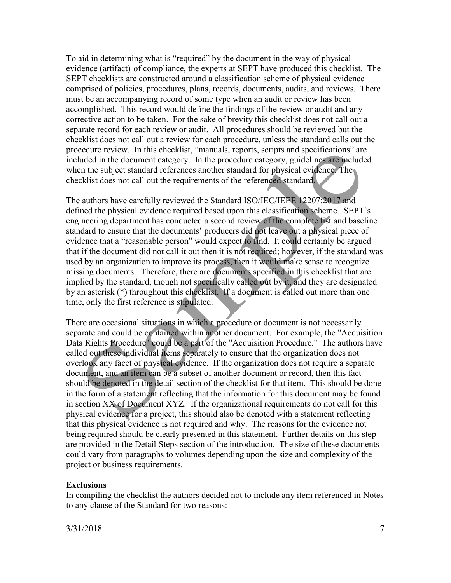To aid in determining what is "required" by the document in the way of physical evidence (artifact) of compliance, the experts at SEPT have produced this checklist. The SEPT checklists are constructed around a classification scheme of physical evidence comprised of policies, procedures, plans, records, documents, audits, and reviews. There must be an accompanying record of some type when an audit or review has been accomplished. This record would define the findings of the review or audit and any corrective action to be taken. For the sake of brevity this checklist does not call out a separate record for each review or audit. All procedures should be reviewed but the checklist does not call out a review for each procedure, unless the standard calls out the procedure review. In this checklist, "manuals, reports, scripts and specifications" are included in the document category. In the procedure category, guidelines are included when the subject standard references another standard for physical evidence. The checklist does not call out the requirements of the referenced standard.

The authors have carefully reviewed the Standard ISO/IEC/IEEE 12207:2017 and defined the physical evidence required based upon this classification scheme. SEPT's engineering department has conducted a second review of the complete list and baseline standard to ensure that the documents' producers did not leave out a physical piece of evidence that a "reasonable person" would expect to find. It could certainly be argued that if the document did not call it out then it is not required; however, if the standard was used by an organization to improve its process, then it would make sense to recognize missing documents. Therefore, there are documents specified in this checklist that are implied by the standard, though not specifically called out by it, and they are designated by an asterisk (\*) throughout this checklist. If a document is called out more than one time, only the first reference is stipulated.

There are occasional situations in which a procedure or document is not necessarily separate and could be contained within another document. For example, the "Acquisition Data Rights Procedure" could be a part of the "Acquisition Procedure." The authors have called out these individual items separately to ensure that the organization does not overlook any facet of physical evidence. If the organization does not require a separate document, and an item can be a subset of another document or record, then this fact should be denoted in the detail section of the checklist for that item. This should be done in the form of a statement reflecting that the information for this document may be found in section XX of Document XYZ. If the organizational requirements do not call for this physical evidence for a project, this should also be denoted with a statement reflecting that this physical evidence is not required and why. The reasons for the evidence not being required should be clearly presented in this statement. Further details on this step are provided in the Detail Steps section of the introduction. The size of these documents could vary from paragraphs to volumes depending upon the size and complexity of the project or business requirements.

#### Exclusions

In compiling the checklist the authors decided not to include any item referenced in Notes to any clause of the Standard for two reasons: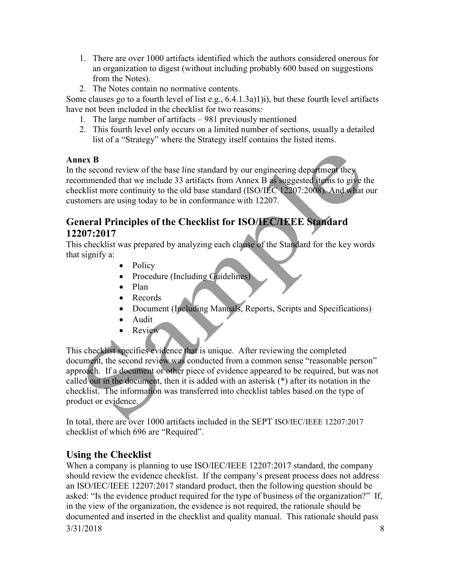- 1. There are over 1000 artifacts identified which the authors considered onerous for an organization to digest (without including probably 600 based on suggestions from the Notes).
- 2. The Notes contain no normative contents.

Some clauses go to a fourth level of list e.g., 6.4.1.3a)1)i), but these fourth level artifacts have not been included in the checklist for two reasons:

- 1. The large number of artifacts 981 previously mentioned
- 2. This fourth level only occurs on a limited number of sections, usually a detailed list of a "Strategy" where the Strategy itself contains the listed items.

#### Annex B

In the second review of the base line standard by our engineering department they recommended that we include 33 artifacts from Annex B as suggested items to give the checklist more continuity to the old base standard (ISO/IEC 12207:2008). And what our customers are using today to be in conformance with 12207.

## General Principles of the Checklist for ISO/IEC/IEEE Standard 12207:2017

This checklist was prepared by analyzing each clause of the Standard for the key words that signify a:

- Policy
- Procedure (Including Guidelines)
- Plan
- Records
- Document (Including Manuals, Reports, Scripts and Specifications)
- Audit
- Review

This checklist specifies evidence that is unique. After reviewing the completed document, the second review was conducted from a common sense "reasonable person" approach. If a document or other piece of evidence appeared to be required, but was not called out in the document, then it is added with an asterisk (\*) after its notation in the checklist. The information was transferred into checklist tables based on the type of product or evidence.

In total, there are over 1000 artifacts included in the SEPT ISO/IEC/IEEE 12207:2017 checklist of which 696 are "Required".

## Using the Checklist

3/31/2018 8 When a company is planning to use ISO/IEC/IEEE 12207:2017 standard, the company should review the evidence checklist. If the company's present process does not address an ISO/IEC/IEEE 12207:2017 standard product, then the following question should be asked: "Is the evidence product required for the type of business of the organization?" If, in the view of the organization, the evidence is not required, the rationale should be documented and inserted in the checklist and quality manual. This rationale should pass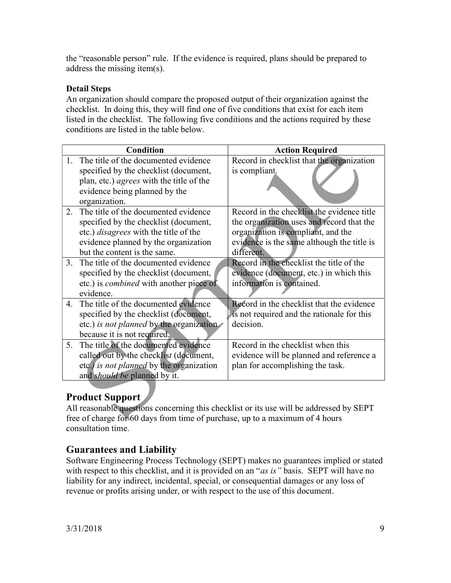the "reasonable person" rule. If the evidence is required, plans should be prepared to address the missing item(s).

#### Detail Steps

An organization should compare the proposed output of their organization against the checklist. In doing this, they will find one of five conditions that exist for each item listed in the checklist. The following five conditions and the actions required by these conditions are listed in the table below.

|                        | <b>Condition</b>                                | <b>Action Required</b>                     |  |  |
|------------------------|-------------------------------------------------|--------------------------------------------|--|--|
| $\mathbf{1}$ .         | The title of the documented evidence            | Record in checklist that the organization  |  |  |
|                        | specified by the checklist (document,           | is compliant.                              |  |  |
|                        | plan, etc.) <i>agrees</i> with the title of the |                                            |  |  |
|                        | evidence being planned by the                   |                                            |  |  |
|                        | organization.                                   |                                            |  |  |
| $2^{1}$                | The title of the documented evidence            | Record in the checklist the evidence title |  |  |
|                        | specified by the checklist (document,           | the organization uses and record that the  |  |  |
|                        | etc.) <i>disagrees</i> with the title of the    | organization is compliant, and the         |  |  |
|                        | evidence planned by the organization            | evidence is the same although the title is |  |  |
|                        | but the content is the same.                    | different.                                 |  |  |
| $\mathcal{R}_{\alpha}$ | The title of the documented evidence            | Record in the checklist the title of the   |  |  |
|                        | specified by the checklist (document,           | evidence (document, etc.) in which this    |  |  |
|                        | etc.) is <i>combined</i> with another piece of  | information is contained.                  |  |  |
|                        | evidence.                                       |                                            |  |  |
| 4.                     | The title of the documented evidence            | Record in the checklist that the evidence  |  |  |
|                        | specified by the checklist (document,           | is not required and the rationale for this |  |  |
|                        | etc.) is not planned by the organization        | decision.                                  |  |  |
|                        | because it is not required.                     |                                            |  |  |
| 5 <sub>1</sub>         | The title of the documented evidence            | Record in the checklist when this          |  |  |
|                        | called out by the checklist (document,          | evidence will be planned and reference a   |  |  |
|                        | etc.) is not planned by the organization        | plan for accomplishing the task.           |  |  |
|                        | and should be planned by it.                    |                                            |  |  |

## Product Support

All reasonable questions concerning this checklist or its use will be addressed by SEPT free of charge for 60 days from time of purchase, up to a maximum of 4 hours consultation time.

#### Guarantees and Liability

Software Engineering Process Technology (SEPT) makes no guarantees implied or stated with respect to this checklist, and it is provided on an "as is" basis. SEPT will have no liability for any indirect, incidental, special, or consequential damages or any loss of revenue or profits arising under, or with respect to the use of this document.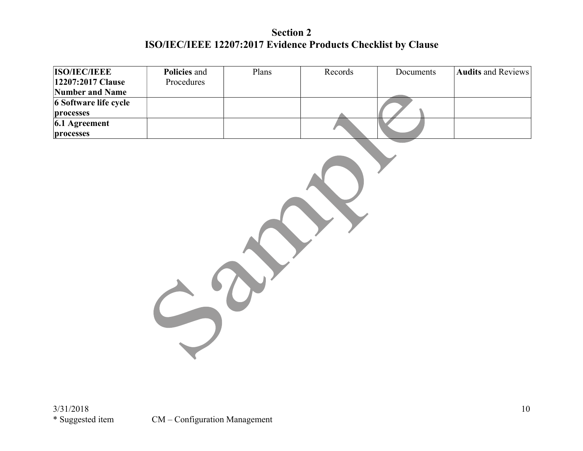## Section 2 ISO/IEC/IEEE 12207:2017 Evidence Products Checklist by Clause

| <b>ISO/IEC/IEEE</b>   | Policies and | Plans | Records | Documents | <b>Audits and Reviews</b> |  |  |
|-----------------------|--------------|-------|---------|-----------|---------------------------|--|--|
| 12207:2017 Clause     | Procedures   |       |         |           |                           |  |  |
| Number and Name       |              |       |         |           |                           |  |  |
| 6 Software life cycle |              |       |         |           |                           |  |  |
| processes             |              |       |         |           |                           |  |  |
| 6.1 Agreement         |              |       |         |           |                           |  |  |
| processes             |              |       |         |           |                           |  |  |
|                       |              |       |         |           |                           |  |  |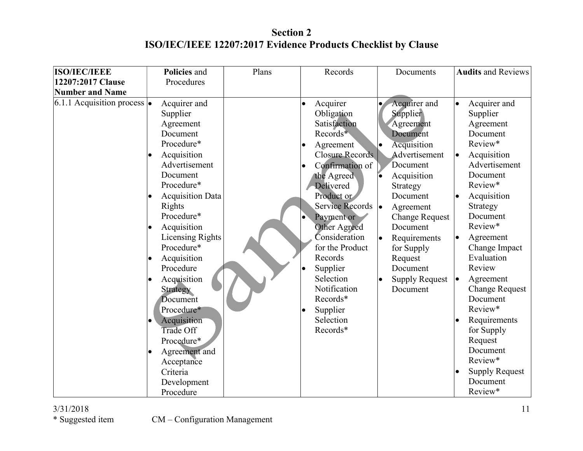## Section 2 ISO/IEC/IEEE 12207:2017 Evidence Products Checklist by Clause

| <b>ISO/IEC/IEEE</b>               | Policies and                                                                                                                                                                                                                                                                                                                                                                                                                                                                                            | Plans | Records                                                                                                                                                                                                                                                                                                                                                                             | Documents                                                                                                                                                                                                                                                                 | <b>Audits and Reviews</b>                                                                                                                                                                                                                                                                                                                                                                                                                                    |
|-----------------------------------|---------------------------------------------------------------------------------------------------------------------------------------------------------------------------------------------------------------------------------------------------------------------------------------------------------------------------------------------------------------------------------------------------------------------------------------------------------------------------------------------------------|-------|-------------------------------------------------------------------------------------------------------------------------------------------------------------------------------------------------------------------------------------------------------------------------------------------------------------------------------------------------------------------------------------|---------------------------------------------------------------------------------------------------------------------------------------------------------------------------------------------------------------------------------------------------------------------------|--------------------------------------------------------------------------------------------------------------------------------------------------------------------------------------------------------------------------------------------------------------------------------------------------------------------------------------------------------------------------------------------------------------------------------------------------------------|
| 12207:2017 Clause                 | Procedures                                                                                                                                                                                                                                                                                                                                                                                                                                                                                              |       |                                                                                                                                                                                                                                                                                                                                                                                     |                                                                                                                                                                                                                                                                           |                                                                                                                                                                                                                                                                                                                                                                                                                                                              |
| <b>Number and Name</b>            |                                                                                                                                                                                                                                                                                                                                                                                                                                                                                                         |       |                                                                                                                                                                                                                                                                                                                                                                                     |                                                                                                                                                                                                                                                                           |                                                                                                                                                                                                                                                                                                                                                                                                                                                              |
| 6.1.1 Acquisition process $\cdot$ | Acquirer and<br>Supplier<br>Agreement<br>Document<br>Procedure*<br>Acquisition<br>Advertisement<br>Document<br>Procedure*<br>Acquisition Data<br>$\bullet$<br>Rights<br>Procedure*<br>Acquisition<br>$\bullet$<br><b>Licensing Rights</b><br>Procedure*<br>Acquisition<br>$\bullet$<br>Procedure<br>Acquisition<br>$\bullet$<br><b>Strategy</b><br>Document<br>Procedure*<br>Acquisition<br>$\bullet$<br>Trade Off<br>Procedure*<br>Agreement and<br>Acceptance<br>Criteria<br>Development<br>Procedure |       | Acquirer<br>$\bullet$<br>Obligation<br>Satisfaction<br>Records*<br>Agreement<br>$\bullet$<br><b>Closure Records</b><br>Confirmation of<br>the Agreed<br><b>Delivered</b><br>Product or<br>Service Records  .<br>Payment or<br>Other Agreed<br>Consideration<br>for the Product<br>Records<br>Supplier<br>Selection<br>Notification<br>Records*<br>Supplier<br>Selection<br>Records* | Acquirer and<br>Supplier<br>Agreement<br>Document<br>Acquisition<br>Advertisement<br>Document<br>Acquisition<br>Strategy<br>Document<br>Agreement<br><b>Change Request</b><br>Document<br>Requirements<br>for Supply<br>Request<br>Document<br>Supply Request<br>Document | Acquirer and<br>$\bullet$<br>Supplier<br>Agreement<br>Document<br>Review*<br>Acquisition<br>$\bullet$<br>Advertisement<br>Document<br>Review*<br>Acquisition<br>$\bullet$<br>Strategy<br>Document<br>Review*<br>Agreement<br>Change Impact<br>Evaluation<br>Review<br>Agreement<br>$\bullet$<br><b>Change Request</b><br>Document<br>Review*<br>Requirements<br>for Supply<br>Request<br>Document<br>Review*<br><b>Supply Request</b><br>Document<br>Review* |